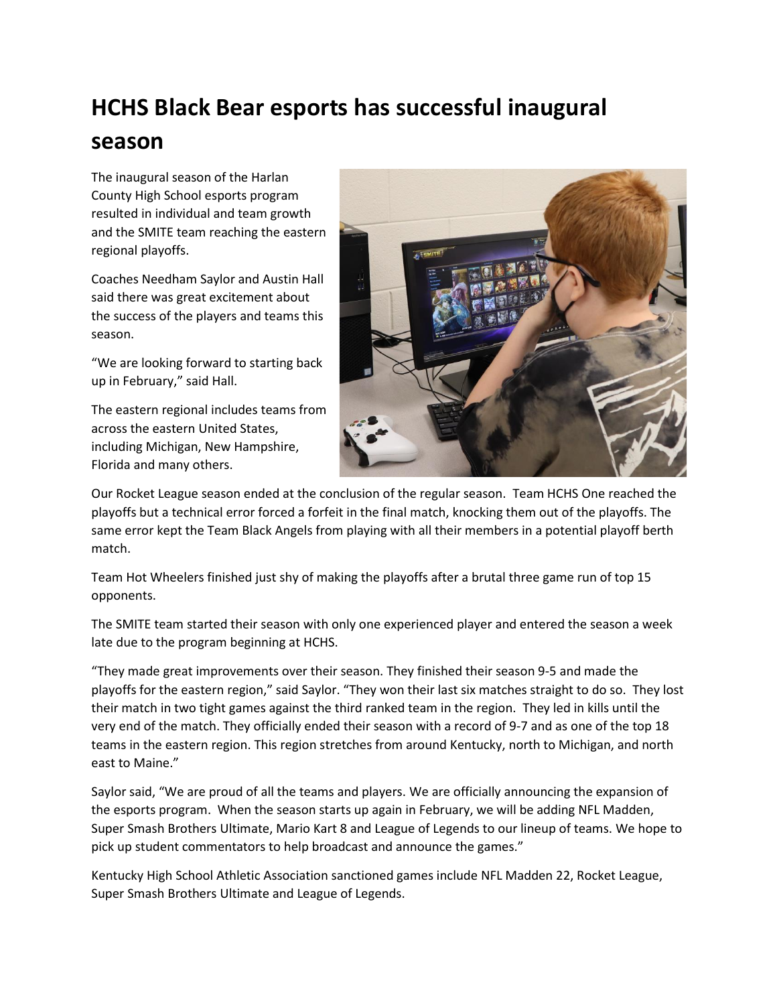## **HCHS Black Bear esports has successful inaugural**

## **season**

The inaugural season of the Harlan County High School esports program resulted in individual and team growth and the SMITE team reaching the eastern regional playoffs.

Coaches Needham Saylor and Austin Hall said there was great excitement about the success of the players and teams this season.

"We are looking forward to starting back up in February," said Hall.

The eastern regional includes teams from across the eastern United States, including Michigan, New Hampshire, Florida and many others.



Our Rocket League season ended at the conclusion of the regular season. Team HCHS One reached the playoffs but a technical error forced a forfeit in the final match, knocking them out of the playoffs. The same error kept the Team Black Angels from playing with all their members in a potential playoff berth match.

Team Hot Wheelers finished just shy of making the playoffs after a brutal three game run of top 15 opponents.

The SMITE team started their season with only one experienced player and entered the season a week late due to the program beginning at HCHS.

"They made great improvements over their season. They finished their season 9-5 and made the playoffs for the eastern region," said Saylor. "They won their last six matches straight to do so. They lost their match in two tight games against the third ranked team in the region. They led in kills until the very end of the match. They officially ended their season with a record of 9-7 and as one of the top 18 teams in the eastern region. This region stretches from around Kentucky, north to Michigan, and north east to Maine."

Saylor said, "We are proud of all the teams and players. We are officially announcing the expansion of the esports program. When the season starts up again in February, we will be adding NFL Madden, Super Smash Brothers Ultimate, Mario Kart 8 and League of Legends to our lineup of teams. We hope to pick up student commentators to help broadcast and announce the games."

Kentucky High School Athletic Association sanctioned games include NFL Madden 22, Rocket League, Super Smash Brothers Ultimate and League of Legends.